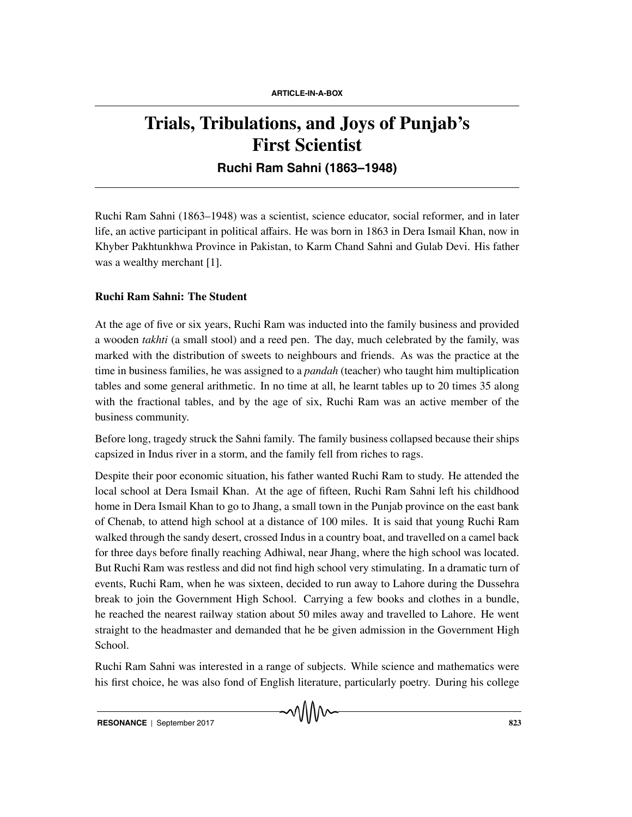# **Trials, Tribulations, and Joys of Punjab's First Scientist**

## **Ruchi Ram Sahni (1863–1948)**

Ruchi Ram Sahni (1863–1948) was a scientist, science educator, social reformer, and in later life, an active participant in political affairs. He was born in 1863 in Dera Ismail Khan, now in Khyber Pakhtunkhwa Province in Pakistan, to Karm Chand Sahni and Gulab Devi. His father was a wealthy merchant [1].

### **Ruchi Ram Sahni: The Student**

At the age of five or six years, Ruchi Ram was inducted into the family business and provided a wooden *takhti* (a small stool) and a reed pen. The day, much celebrated by the family, was marked with the distribution of sweets to neighbours and friends. As was the practice at the time in business families, he was assigned to a *pandah* (teacher) who taught him multiplication tables and some general arithmetic. In no time at all, he learnt tables up to 20 times 35 along with the fractional tables, and by the age of six, Ruchi Ram was an active member of the business community.

Before long, tragedy struck the Sahni family. The family business collapsed because their ships capsized in Indus river in a storm, and the family fell from riches to rags.

Despite their poor economic situation, his father wanted Ruchi Ram to study. He attended the local school at Dera Ismail Khan. At the age of fifteen, Ruchi Ram Sahni left his childhood home in Dera Ismail Khan to go to Jhang, a small town in the Punjab province on the east bank of Chenab, to attend high school at a distance of 100 miles. It is said that young Ruchi Ram walked through the sandy desert, crossed Indus in a country boat, and travelled on a camel back for three days before finally reaching Adhiwal, near Jhang, where the high school was located. But Ruchi Ram was restless and did not find high school very stimulating. In a dramatic turn of events, Ruchi Ram, when he was sixteen, decided to run away to Lahore during the Dussehra break to join the Government High School. Carrying a few books and clothes in a bundle, he reached the nearest railway station about 50 miles away and travelled to Lahore. He went straight to the headmaster and demanded that he be given admission in the Government High School.

Ruchi Ram Sahni was interested in a range of subjects. While science and mathematics were his first choice, he was also fond of English literature, particularly poetry. During his college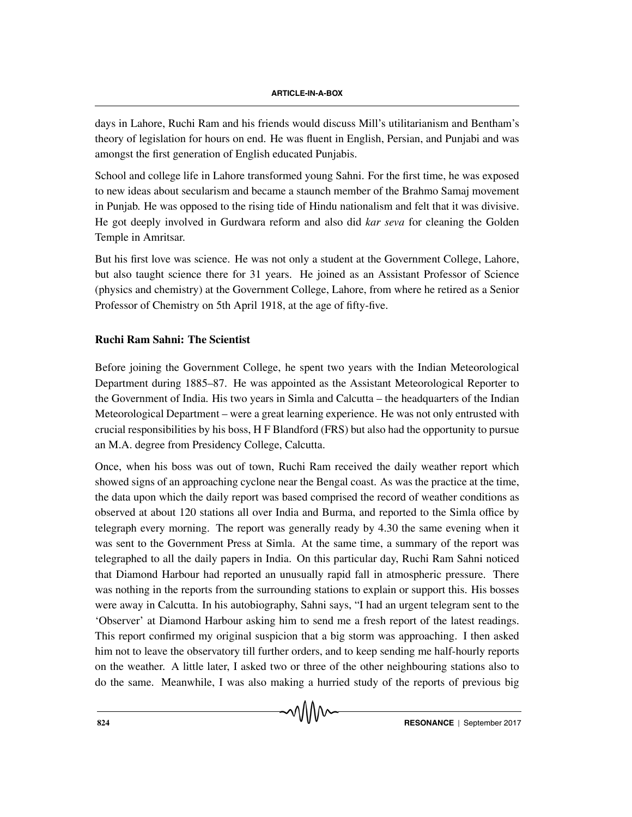days in Lahore, Ruchi Ram and his friends would discuss Mill's utilitarianism and Bentham's theory of legislation for hours on end. He was fluent in English, Persian, and Punjabi and was amongst the first generation of English educated Punjabis.

School and college life in Lahore transformed young Sahni. For the first time, he was exposed to new ideas about secularism and became a staunch member of the Brahmo Samaj movement in Punjab. He was opposed to the rising tide of Hindu nationalism and felt that it was divisive. He got deeply involved in Gurdwara reform and also did *kar seva* for cleaning the Golden Temple in Amritsar.

But his first love was science. He was not only a student at the Government College, Lahore, but also taught science there for 31 years. He joined as an Assistant Professor of Science (physics and chemistry) at the Government College, Lahore, from where he retired as a Senior Professor of Chemistry on 5th April 1918, at the age of fifty-five.

### **Ruchi Ram Sahni: The Scientist**

Before joining the Government College, he spent two years with the Indian Meteorological Department during 1885–87. He was appointed as the Assistant Meteorological Reporter to the Government of India. His two years in Simla and Calcutta – the headquarters of the Indian Meteorological Department – were a great learning experience. He was not only entrusted with crucial responsibilities by his boss, H F Blandford (FRS) but also had the opportunity to pursue an M.A. degree from Presidency College, Calcutta.

Once, when his boss was out of town, Ruchi Ram received the daily weather report which showed signs of an approaching cyclone near the Bengal coast. As was the practice at the time, the data upon which the daily report was based comprised the record of weather conditions as observed at about 120 stations all over India and Burma, and reported to the Simla office by telegraph every morning. The report was generally ready by 4.30 the same evening when it was sent to the Government Press at Simla. At the same time, a summary of the report was telegraphed to all the daily papers in India. On this particular day, Ruchi Ram Sahni noticed that Diamond Harbour had reported an unusually rapid fall in atmospheric pressure. There was nothing in the reports from the surrounding stations to explain or support this. His bosses were away in Calcutta. In his autobiography, Sahni says, "I had an urgent telegram sent to the 'Observer' at Diamond Harbour asking him to send me a fresh report of the latest readings. This report confirmed my original suspicion that a big storm was approaching. I then asked him not to leave the observatory till further orders, and to keep sending me half-hourly reports on the weather. A little later, I asked two or three of the other neighbouring stations also to do the same. Meanwhile, I was also making a hurried study of the reports of previous big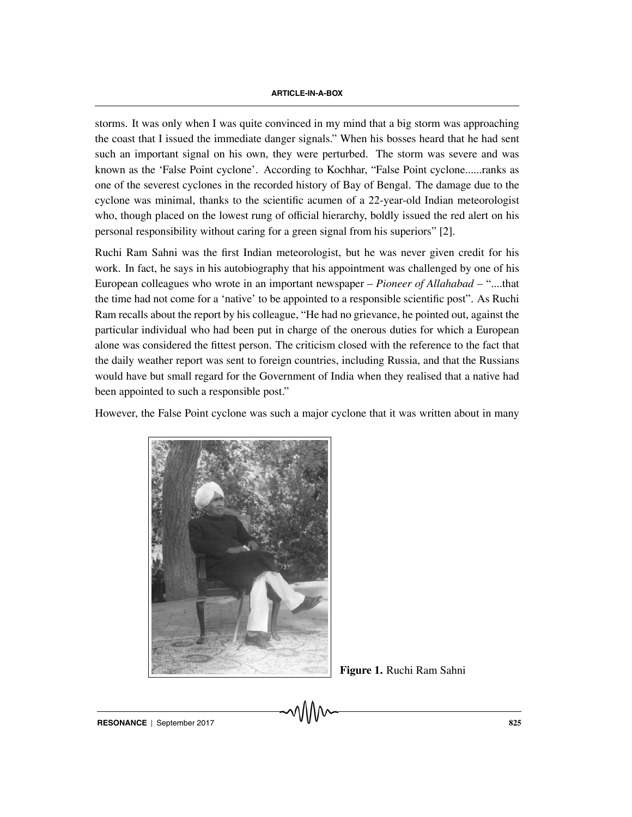storms. It was only when I was quite convinced in my mind that a big storm was approaching the coast that I issued the immediate danger signals." When his bosses heard that he had sent such an important signal on his own, they were perturbed. The storm was severe and was known as the 'False Point cyclone'. According to Kochhar, "False Point cyclone......ranks as one of the severest cyclones in the recorded history of Bay of Bengal. The damage due to the cyclone was minimal, thanks to the scientific acumen of a 22-year-old Indian meteorologist who, though placed on the lowest rung of official hierarchy, boldly issued the red alert on his personal responsibility without caring for a green signal from his superiors" [2].

Ruchi Ram Sahni was the first Indian meteorologist, but he was never given credit for his work. In fact, he says in his autobiography that his appointment was challenged by one of his European colleagues who wrote in an important newspaper – *Pioneer of Allahabad* – "....that the time had not come for a 'native' to be appointed to a responsible scientific post". As Ruchi Ram recalls about the report by his colleague, "He had no grievance, he pointed out, against the particular individual who had been put in charge of the onerous duties for which a European alone was considered the fittest person. The criticism closed with the reference to the fact that the daily weather report was sent to foreign countries, including Russia, and that the Russians would have but small regard for the Government of India when they realised that a native had been appointed to such a responsible post."

However, the False Point cyclone was such a major cyclone that it was written about in many



**Figure 1.** Ruchi Ram Sahni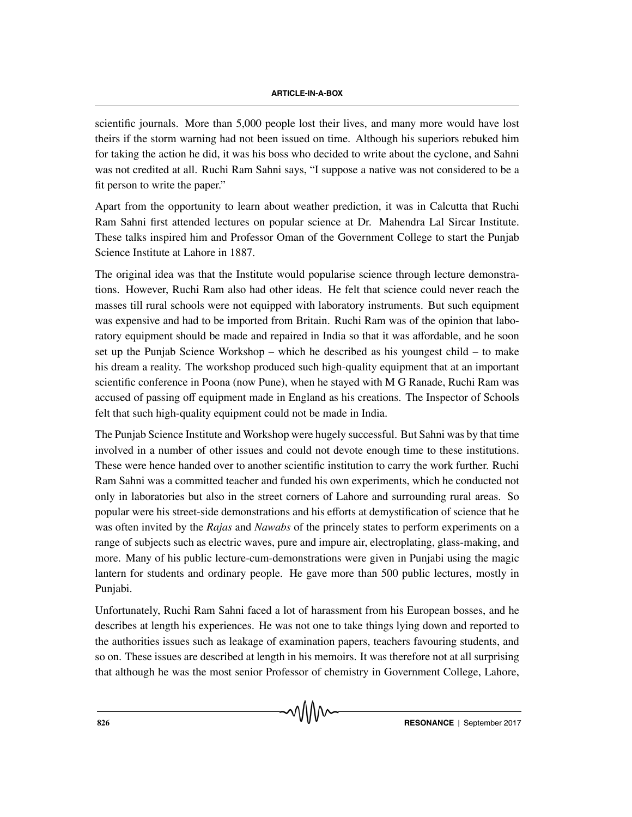scientific journals. More than 5,000 people lost their lives, and many more would have lost theirs if the storm warning had not been issued on time. Although his superiors rebuked him for taking the action he did, it was his boss who decided to write about the cyclone, and Sahni was not credited at all. Ruchi Ram Sahni says, "I suppose a native was not considered to be a fit person to write the paper."

Apart from the opportunity to learn about weather prediction, it was in Calcutta that Ruchi Ram Sahni first attended lectures on popular science at Dr. Mahendra Lal Sircar Institute. These talks inspired him and Professor Oman of the Government College to start the Punjab Science Institute at Lahore in 1887.

The original idea was that the Institute would popularise science through lecture demonstrations. However, Ruchi Ram also had other ideas. He felt that science could never reach the masses till rural schools were not equipped with laboratory instruments. But such equipment was expensive and had to be imported from Britain. Ruchi Ram was of the opinion that laboratory equipment should be made and repaired in India so that it was affordable, and he soon set up the Punjab Science Workshop – which he described as his youngest child – to make his dream a reality. The workshop produced such high-quality equipment that at an important scientific conference in Poona (now Pune), when he stayed with M G Ranade, Ruchi Ram was accused of passing off equipment made in England as his creations. The Inspector of Schools felt that such high-quality equipment could not be made in India.

The Punjab Science Institute and Workshop were hugely successful. But Sahni was by that time involved in a number of other issues and could not devote enough time to these institutions. These were hence handed over to another scientific institution to carry the work further. Ruchi Ram Sahni was a committed teacher and funded his own experiments, which he conducted not only in laboratories but also in the street corners of Lahore and surrounding rural areas. So popular were his street-side demonstrations and his efforts at demystification of science that he was often invited by the *Rajas* and *Nawabs* of the princely states to perform experiments on a range of subjects such as electric waves, pure and impure air, electroplating, glass-making, and more. Many of his public lecture-cum-demonstrations were given in Punjabi using the magic lantern for students and ordinary people. He gave more than 500 public lectures, mostly in Punjabi.

Unfortunately, Ruchi Ram Sahni faced a lot of harassment from his European bosses, and he describes at length his experiences. He was not one to take things lying down and reported to the authorities issues such as leakage of examination papers, teachers favouring students, and so on. These issues are described at length in his memoirs. It was therefore not at all surprising that although he was the most senior Professor of chemistry in Government College, Lahore,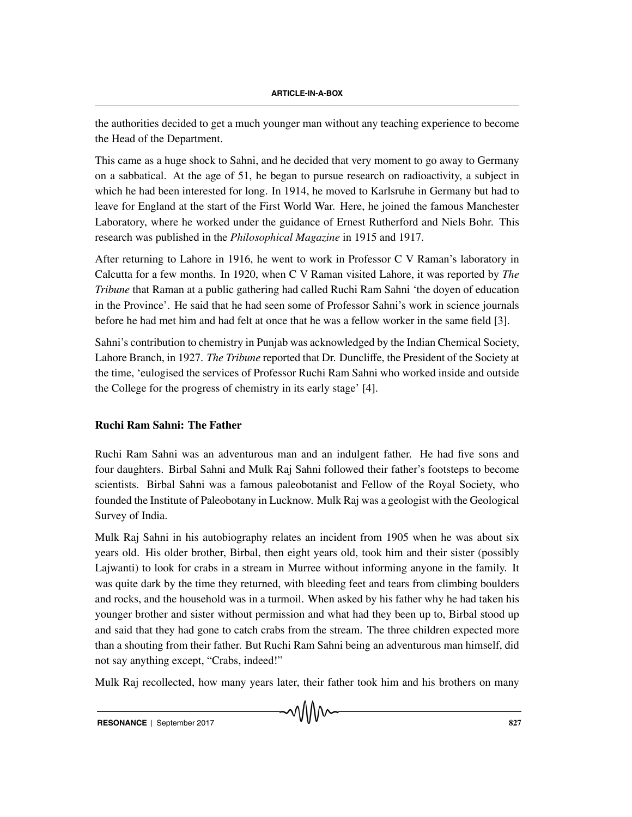the authorities decided to get a much younger man without any teaching experience to become the Head of the Department.

This came as a huge shock to Sahni, and he decided that very moment to go away to Germany on a sabbatical. At the age of 51, he began to pursue research on radioactivity, a subject in which he had been interested for long. In 1914, he moved to Karlsruhe in Germany but had to leave for England at the start of the First World War. Here, he joined the famous Manchester Laboratory, where he worked under the guidance of Ernest Rutherford and Niels Bohr. This research was published in the *Philosophical Magazine* in 1915 and 1917.

After returning to Lahore in 1916, he went to work in Professor C V Raman's laboratory in Calcutta for a few months. In 1920, when C V Raman visited Lahore, it was reported by *The Tribune* that Raman at a public gathering had called Ruchi Ram Sahni 'the doyen of education in the Province'. He said that he had seen some of Professor Sahni's work in science journals before he had met him and had felt at once that he was a fellow worker in the same field [3].

Sahni's contribution to chemistry in Punjab was acknowledged by the Indian Chemical Society, Lahore Branch, in 1927. *The Tribune* reported that Dr. Duncliffe, the President of the Society at the time, 'eulogised the services of Professor Ruchi Ram Sahni who worked inside and outside the College for the progress of chemistry in its early stage' [4].

#### **Ruchi Ram Sahni: The Father**

Ruchi Ram Sahni was an adventurous man and an indulgent father. He had five sons and four daughters. Birbal Sahni and Mulk Raj Sahni followed their father's footsteps to become scientists. Birbal Sahni was a famous paleobotanist and Fellow of the Royal Society, who founded the Institute of Paleobotany in Lucknow. Mulk Raj was a geologist with the Geological Survey of India.

Mulk Raj Sahni in his autobiography relates an incident from 1905 when he was about six years old. His older brother, Birbal, then eight years old, took him and their sister (possibly Lajwanti) to look for crabs in a stream in Murree without informing anyone in the family. It was quite dark by the time they returned, with bleeding feet and tears from climbing boulders and rocks, and the household was in a turmoil. When asked by his father why he had taken his younger brother and sister without permission and what had they been up to, Birbal stood up and said that they had gone to catch crabs from the stream. The three children expected more than a shouting from their father. But Ruchi Ram Sahni being an adventurous man himself, did not say anything except, "Crabs, indeed!"

Mulk Raj recollected, how many years later, their father took him and his brothers on many

√∖∖∖∖∧